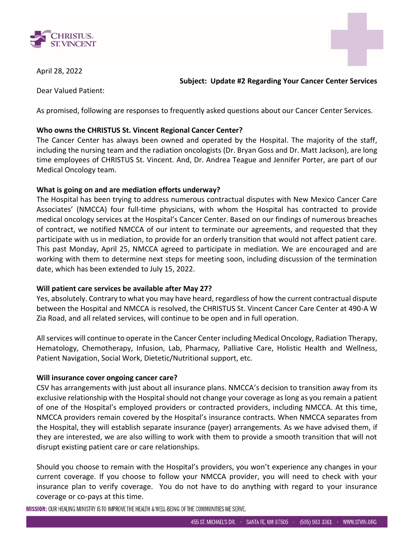



April 28, 2022

**Subject: Update #2 Regarding Your Cancer Center Services**

Dear Valued Patient:

As promised, following are responses to frequently asked questions about our Cancer Center Services.

# **Who owns the CHRISTUS St. Vincent Regional Cancer Center?**

The Cancer Center has always been owned and operated by the Hospital. The majority of the staff, including the nursing team and the radiation oncologists (Dr. Bryan Goss and Dr. Matt Jackson), are long time employees of CHRISTUS St. Vincent. And, Dr. Andrea Teague and Jennifer Porter, are part of our Medical Oncology team.

## **What is going on and are mediation efforts underway?**

The Hospital has been trying to address numerous contractual disputes with New Mexico Cancer Care Associates' (NMCCA) four full-time physicians, with whom the Hospital has contracted to provide medical oncology services at the Hospital's Cancer Center. Based on our findings of numerous breaches of contract, we notified NMCCA of our intent to terminate our agreements, and requested that they participate with us in mediation, to provide for an orderly transition that would not affect patient care. This past Monday, April 25, NMCCA agreed to participate in mediation. We are encouraged and are working with them to determine next steps for meeting soon, including discussion of the termination date, which has been extended to July 15, 2022.

## **Will patient care services be available after May 27?**

Yes, absolutely. Contrary to what you may have heard, regardless of how the current contractual dispute between the Hospital and NMCCA is resolved, the CHRISTUS St. Vincent Cancer Care Center at 490-A W Zia Road, and all related services, will continue to be open and in full operation.

All services will continue to operate in the Cancer Center including Medical Oncology, Radiation Therapy, Hematology, Chemotherapy, Infusion, Lab, Pharmacy, Palliative Care, Holistic Health and Wellness, Patient Navigation, Social Work, Dietetic/Nutritional support, etc.

## **Will insurance cover ongoing cancer care?**

CSV has arrangements with just about all insurance plans. NMCCA's decision to transition away from its exclusive relationship with the Hospital should not change your coverage as long as you remain a patient of one of the Hospital's employed providers or contracted providers, including NMCCA. At this time, NMCCA providers remain covered by the Hospital's insurance contracts. When NMCCA separates from the Hospital, they will establish separate insurance (payer) arrangements. As we have advised them, if they are interested, we are also willing to work with them to provide a smooth transition that will not disrupt existing patient care or care relationships.

Should you choose to remain with the Hospital's providers, you won't experience any changes in your current coverage. If you choose to follow your NMCCA provider, you will need to check with your insurance plan to verify coverage. You do not have to do anything with regard to your insurance coverage or co-pays at this time.

MISSION: OUR HEALING MINISTRY IS TO IMPROVE THE HEALTH & WELL-BEING OF THE COMMUNITIES WE SERVE.